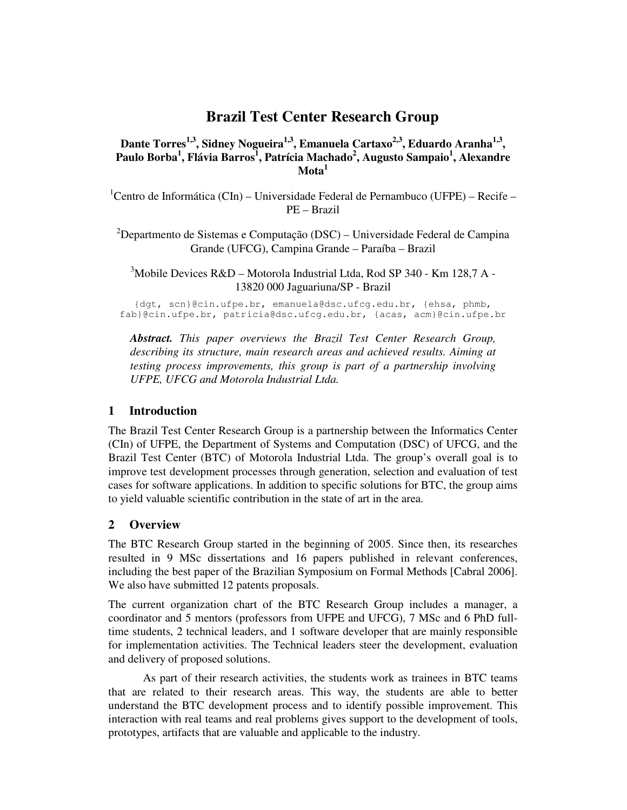# **Brazil Test Center Research Group**

**Dante Torres1,3, Sidney Nogueira1,3, Emanuela Cartaxo2,3, Eduardo Aranha1,3 , Paulo Borba<sup>1</sup> , Flávia Barros<sup>1</sup> , Patrícia Machado<sup>2</sup> , Augusto Sampaio<sup>1</sup> , Alexandre Mota<sup>1</sup>**

 ${}^{1}$ Centro de Informática (CIn) – Universidade Federal de Pernambuco (UFPE) – Recife – PE – Brazil

<sup>2</sup>Departmento de Sistemas e Computação (DSC) – Universidade Federal de Campina Grande (UFCG), Campina Grande – Paraíba – Brazil

<sup>3</sup>Mobile Devices R&D – Motorola Industrial Ltda, Rod SP 340 - Km 128,7 A -13820 000 Jaguariuna/SP - Brazil

{dgt, scn}@cin.ufpe.br, emanuela@dsc.ufcg.edu.br, {ehsa, phmb, fab}@cin.ufpe.br, patricia@dsc.ufcg.edu.br, {acas, acm}@cin.ufpe.br

*Abstract. This paper overviews the Brazil Test Center Research Group, describing its structure, main research areas and achieved results. Aiming at testing process improvements, this group is part of a partnership involving UFPE, UFCG and Motorola Industrial Ltda.* 

## **1 Introduction**

The Brazil Test Center Research Group is a partnership between the Informatics Center (CIn) of UFPE, the Department of Systems and Computation (DSC) of UFCG, and the Brazil Test Center (BTC) of Motorola Industrial Ltda. The group's overall goal is to improve test development processes through generation, selection and evaluation of test cases for software applications. In addition to specific solutions for BTC, the group aims to yield valuable scientific contribution in the state of art in the area.

## **2 Overview**

The BTC Research Group started in the beginning of 2005. Since then, its researches resulted in 9 MSc dissertations and 16 papers published in relevant conferences, including the best paper of the Brazilian Symposium on Formal Methods [Cabral 2006]. We also have submitted 12 patents proposals.

The current organization chart of the BTC Research Group includes a manager, a coordinator and 5 mentors (professors from UFPE and UFCG), 7 MSc and 6 PhD fulltime students, 2 technical leaders, and 1 software developer that are mainly responsible for implementation activities. The Technical leaders steer the development, evaluation and delivery of proposed solutions.

 As part of their research activities, the students work as trainees in BTC teams that are related to their research areas. This way, the students are able to better understand the BTC development process and to identify possible improvement. This interaction with real teams and real problems gives support to the development of tools, prototypes, artifacts that are valuable and applicable to the industry.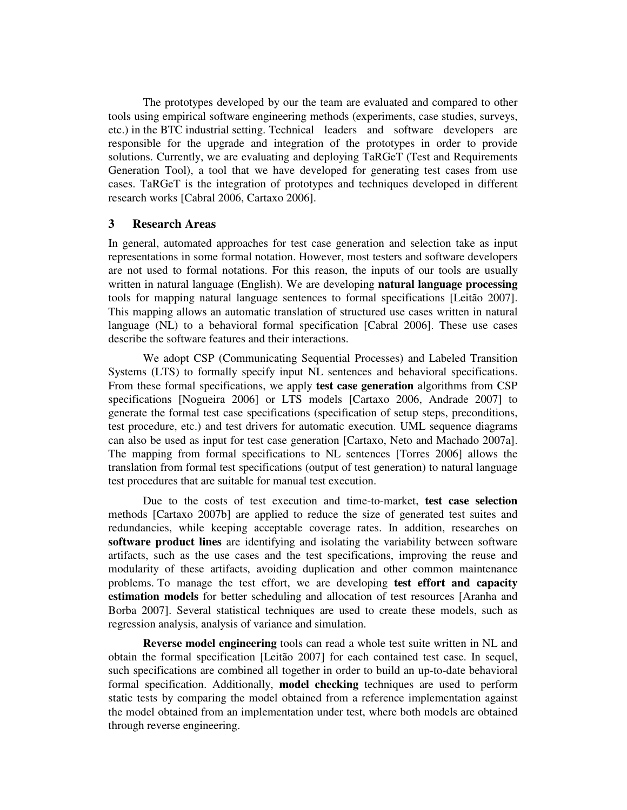The prototypes developed by our the team are evaluated and compared to other tools using empirical software engineering methods (experiments, case studies, surveys, etc.) in the BTC industrial setting. Technical leaders and software developers are responsible for the upgrade and integration of the prototypes in order to provide solutions. Currently, we are evaluating and deploying TaRGeT (Test and Requirements Generation Tool), a tool that we have developed for generating test cases from use cases. TaRGeT is the integration of prototypes and techniques developed in different research works [Cabral 2006, Cartaxo 2006].

#### **3 Research Areas**

In general, automated approaches for test case generation and selection take as input representations in some formal notation. However, most testers and software developers are not used to formal notations. For this reason, the inputs of our tools are usually written in natural language (English). We are developing **natural language processing**  tools for mapping natural language sentences to formal specifications [Leitão 2007]. This mapping allows an automatic translation of structured use cases written in natural language (NL) to a behavioral formal specification [Cabral 2006]. These use cases describe the software features and their interactions.

 We adopt CSP (Communicating Sequential Processes) and Labeled Transition Systems (LTS) to formally specify input NL sentences and behavioral specifications. From these formal specifications, we apply **test case generation** algorithms from CSP specifications [Nogueira 2006] or LTS models [Cartaxo 2006, Andrade 2007] to generate the formal test case specifications (specification of setup steps, preconditions, test procedure, etc.) and test drivers for automatic execution. UML sequence diagrams can also be used as input for test case generation [Cartaxo, Neto and Machado 2007a]. The mapping from formal specifications to NL sentences [Torres 2006] allows the translation from formal test specifications (output of test generation) to natural language test procedures that are suitable for manual test execution.

 Due to the costs of test execution and time-to-market, **test case selection** methods [Cartaxo 2007b] are applied to reduce the size of generated test suites and redundancies, while keeping acceptable coverage rates. In addition, researches on **software product lines** are identifying and isolating the variability between software artifacts, such as the use cases and the test specifications, improving the reuse and modularity of these artifacts, avoiding duplication and other common maintenance problems. To manage the test effort, we are developing **test effort and capacity estimation models** for better scheduling and allocation of test resources [Aranha and Borba 2007]. Several statistical techniques are used to create these models, such as regression analysis, analysis of variance and simulation.

**Reverse model engineering** tools can read a whole test suite written in NL and obtain the formal specification [Leitão 2007] for each contained test case. In sequel, such specifications are combined all together in order to build an up-to-date behavioral formal specification. Additionally, **model checking** techniques are used to perform static tests by comparing the model obtained from a reference implementation against the model obtained from an implementation under test, where both models are obtained through reverse engineering.